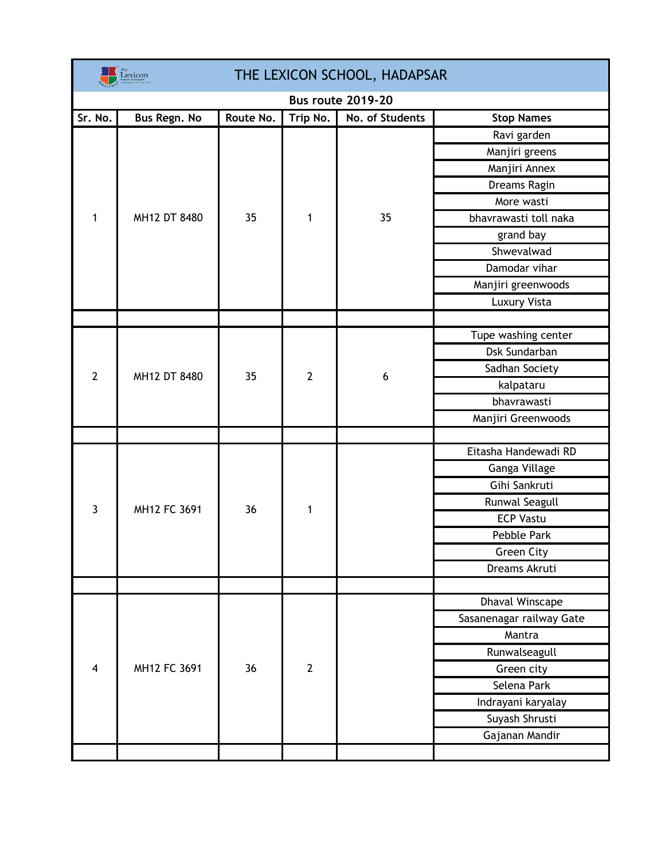| THE LEXICON SCHOOL, HADAPSAR<br>exicon |              |           |                |                 |                          |  |  |
|----------------------------------------|--------------|-----------|----------------|-----------------|--------------------------|--|--|
| <b>Bus route 2019-20</b>               |              |           |                |                 |                          |  |  |
| Sr. No.                                | Bus Regn. No | Route No. | Trip No.       | No. of Students | <b>Stop Names</b>        |  |  |
|                                        |              | 35        | 1              | 35              | Ravi garden              |  |  |
|                                        |              |           |                |                 | Manjiri greens           |  |  |
|                                        |              |           |                |                 | Manjiri Annex            |  |  |
|                                        |              |           |                |                 | Dreams Ragin             |  |  |
| 1                                      | MH12 DT 8480 |           |                |                 | More wasti               |  |  |
|                                        |              |           |                |                 | bhavrawasti toll naka    |  |  |
|                                        |              |           |                |                 | grand bay                |  |  |
|                                        |              |           |                |                 | Shwevalwad               |  |  |
|                                        |              |           |                |                 | Damodar vihar            |  |  |
|                                        |              |           |                |                 | Manjiri greenwoods       |  |  |
|                                        |              |           |                |                 | <b>Luxury Vista</b>      |  |  |
|                                        |              |           |                |                 |                          |  |  |
|                                        |              |           | $\overline{2}$ | 6               | Tupe washing center      |  |  |
|                                        | MH12 DT 8480 |           |                |                 | Dsk Sundarban            |  |  |
| $\overline{2}$                         |              | 35        |                |                 | Sadhan Society           |  |  |
|                                        |              |           |                |                 | kalpataru                |  |  |
|                                        |              |           |                |                 | bhavrawasti              |  |  |
|                                        |              |           |                |                 | Manjiri Greenwoods       |  |  |
|                                        |              |           |                |                 |                          |  |  |
|                                        |              |           |                |                 | Eitasha Handewadi RD     |  |  |
|                                        |              |           |                |                 | Ganga Village            |  |  |
|                                        | MH12 FC 3691 |           |                |                 | Gihi Sankruti            |  |  |
| $\overline{3}$                         |              | 36        | 1              |                 | Runwal Seagull           |  |  |
|                                        |              |           |                |                 | <b>ECP Vastu</b>         |  |  |
|                                        |              |           |                |                 | Pebble Park              |  |  |
|                                        |              |           |                |                 | <b>Green City</b>        |  |  |
|                                        |              |           |                |                 | Dreams Akruti            |  |  |
|                                        |              |           |                |                 |                          |  |  |
| $\overline{4}$                         | MH12 FC 3691 | 36        | $\overline{2}$ |                 | <b>Dhaval Winscape</b>   |  |  |
|                                        |              |           |                |                 | Sasanenagar railway Gate |  |  |
|                                        |              |           |                |                 | Mantra                   |  |  |
|                                        |              |           |                |                 | Runwalseagull            |  |  |
|                                        |              |           |                |                 | Green city               |  |  |
|                                        |              |           |                |                 | Selena Park              |  |  |
|                                        |              |           |                |                 | Indrayani karyalay       |  |  |
|                                        |              |           |                |                 | Suyash Shrusti           |  |  |
|                                        |              |           |                |                 | Gajanan Mandir           |  |  |
|                                        |              |           |                |                 |                          |  |  |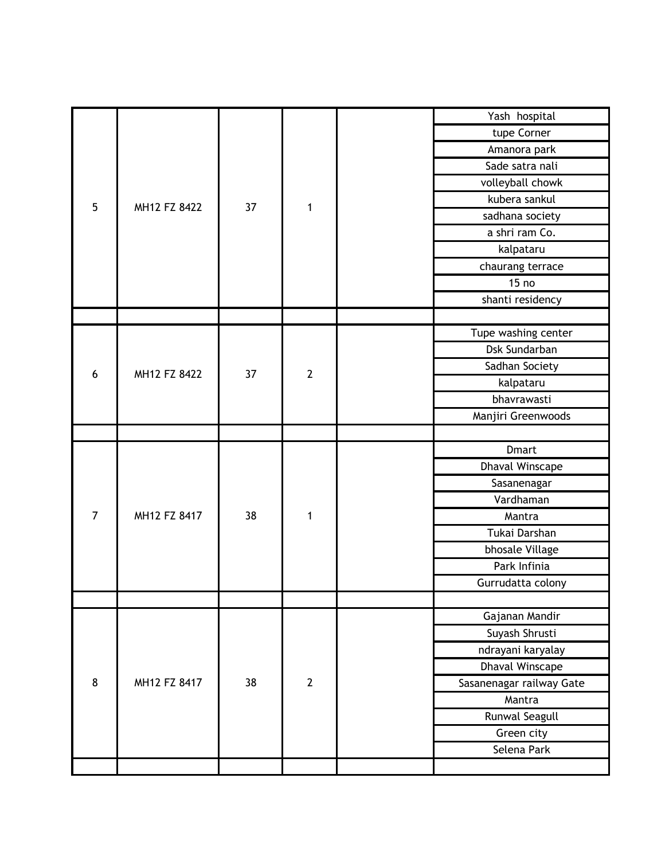|                | MH12 FZ 8422 | 37 | 1              | Yash hospital            |
|----------------|--------------|----|----------------|--------------------------|
|                |              |    |                | tupe Corner              |
| 5              |              |    |                | Amanora park             |
|                |              |    |                | Sade satra nali          |
|                |              |    |                | volleyball chowk         |
|                |              |    |                | kubera sankul            |
|                |              |    |                | sadhana society          |
|                |              |    |                | a shri ram Co.           |
|                |              |    |                | kalpataru                |
|                |              |    |                | chaurang terrace         |
|                |              |    |                | 15 <sub>no</sub>         |
|                |              |    |                | shanti residency         |
|                |              |    |                |                          |
|                |              |    | $\overline{2}$ | Tupe washing center      |
|                |              |    |                | Dsk Sundarban            |
| 6              | MH12 FZ 8422 | 37 |                | Sadhan Society           |
|                |              |    |                | kalpataru                |
|                |              |    |                | bhavrawasti              |
|                |              |    |                | Manjiri Greenwoods       |
|                |              |    |                |                          |
|                | MH12 FZ 8417 |    | 1              | <b>Dmart</b>             |
|                |              |    |                | Dhaval Winscape          |
|                |              |    |                | Sasanenagar              |
|                |              |    |                | Vardhaman                |
| $\overline{7}$ |              | 38 |                | Mantra                   |
|                |              |    |                |                          |
|                |              |    |                | Tukai Darshan            |
|                |              |    |                | bhosale Village          |
|                |              |    |                | Park Infinia             |
|                |              |    |                | Gurrudatta colony        |
|                |              |    |                |                          |
|                |              |    |                | Gajanan Mandir           |
|                |              |    |                | Suyash Shrusti           |
|                |              |    |                | ndrayani karyalay        |
|                |              |    |                | Dhaval Winscape          |
| 8              | MH12 FZ 8417 | 38 | $\overline{2}$ | Sasanenagar railway Gate |
|                |              |    |                | Mantra                   |
|                |              |    |                | <b>Runwal Seagull</b>    |
|                |              |    |                | Green city               |
|                |              |    |                | Selena Park              |